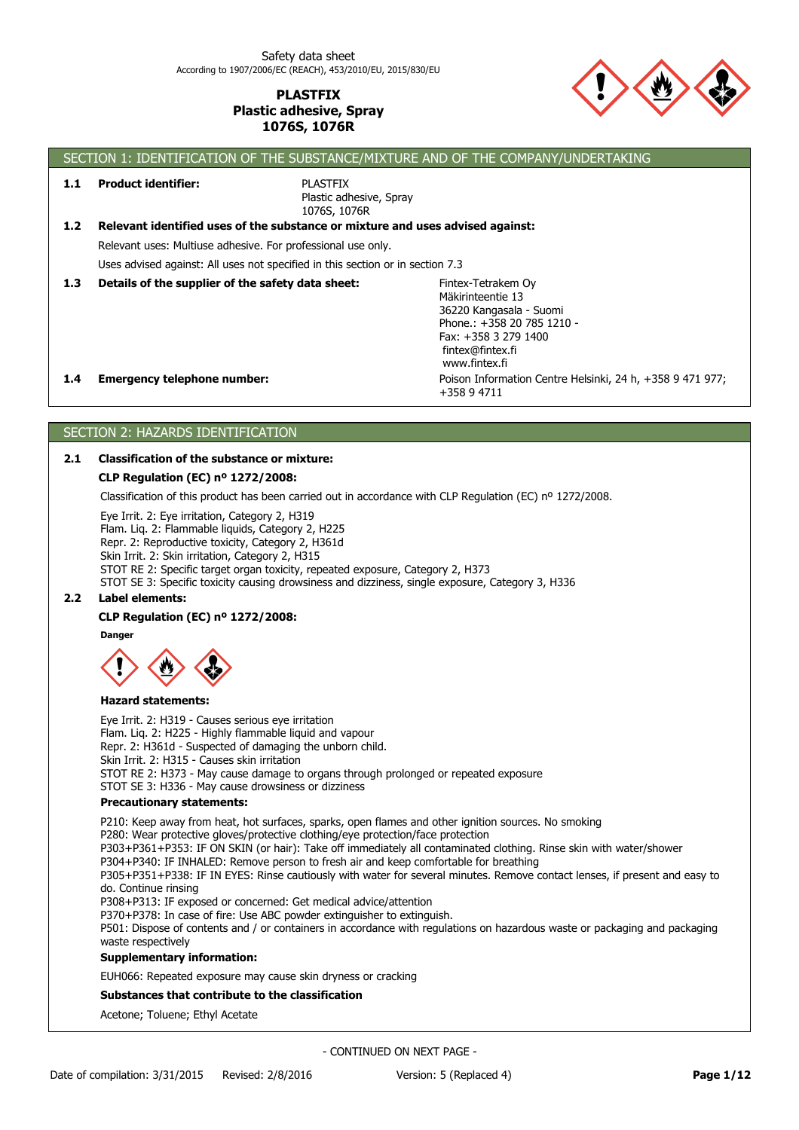

**1.1 Product identifier:**

PLASTFIX

SECTION 1: IDENTIFICATION OF THE SUBSTANCE/MIXTURE AND OF THE COMPANY/UNDERTAKING

Plastic adhesive, Spray 1076S, 1076R

| 1.2              | Relevant identified uses of the substance or mixture and uses advised against:                                                                                                                                                                                                                                                                                                                                                                                                                                                                                                                                                 |                                                                                                                                                               |           |
|------------------|--------------------------------------------------------------------------------------------------------------------------------------------------------------------------------------------------------------------------------------------------------------------------------------------------------------------------------------------------------------------------------------------------------------------------------------------------------------------------------------------------------------------------------------------------------------------------------------------------------------------------------|---------------------------------------------------------------------------------------------------------------------------------------------------------------|-----------|
|                  | Relevant uses: Multiuse adhesive. For professional use only.                                                                                                                                                                                                                                                                                                                                                                                                                                                                                                                                                                   |                                                                                                                                                               |           |
|                  | Uses advised against: All uses not specified in this section or in section 7.3                                                                                                                                                                                                                                                                                                                                                                                                                                                                                                                                                 |                                                                                                                                                               |           |
| 1.3              | Details of the supplier of the safety data sheet:                                                                                                                                                                                                                                                                                                                                                                                                                                                                                                                                                                              | Fintex-Tetrakem Oy<br>Mäkirinteentie 13<br>36220 Kangasala - Suomi<br>Phone.: +358 20 785 1210 -<br>Fax: +358 3 279 1400<br>fintex@fintex.fi<br>www.fintex.fi |           |
| $1.4^{\circ}$    | <b>Emergency telephone number:</b>                                                                                                                                                                                                                                                                                                                                                                                                                                                                                                                                                                                             | Poison Information Centre Helsinki, 24 h, +358 9 471 977;<br>+358 9 4711                                                                                      |           |
|                  | SECTION 2: HAZARDS IDENTIFICATION                                                                                                                                                                                                                                                                                                                                                                                                                                                                                                                                                                                              |                                                                                                                                                               |           |
| 2.1              | <b>Classification of the substance or mixture:</b>                                                                                                                                                                                                                                                                                                                                                                                                                                                                                                                                                                             |                                                                                                                                                               |           |
|                  | CLP Regulation (EC) nº 1272/2008:                                                                                                                                                                                                                                                                                                                                                                                                                                                                                                                                                                                              |                                                                                                                                                               |           |
|                  | Classification of this product has been carried out in accordance with CLP Regulation (EC) $n^{\circ}$ 1272/2008.                                                                                                                                                                                                                                                                                                                                                                                                                                                                                                              |                                                                                                                                                               |           |
|                  | Eye Irrit. 2: Eye irritation, Category 2, H319<br>Flam. Liq. 2: Flammable liquids, Category 2, H225<br>Repr. 2: Reproductive toxicity, Category 2, H361d<br>Skin Irrit. 2: Skin irritation, Category 2, H315<br>STOT RE 2: Specific target organ toxicity, repeated exposure, Category 2, H373<br>STOT SE 3: Specific toxicity causing drowsiness and dizziness, single exposure, Category 3, H336                                                                                                                                                                                                                             |                                                                                                                                                               |           |
| 2.2 <sub>2</sub> | <b>Label elements:</b>                                                                                                                                                                                                                                                                                                                                                                                                                                                                                                                                                                                                         |                                                                                                                                                               |           |
|                  | CLP Regulation (EC) nº 1272/2008:                                                                                                                                                                                                                                                                                                                                                                                                                                                                                                                                                                                              |                                                                                                                                                               |           |
|                  | <b>Danger</b>                                                                                                                                                                                                                                                                                                                                                                                                                                                                                                                                                                                                                  |                                                                                                                                                               |           |
|                  | <b>Hazard statements:</b>                                                                                                                                                                                                                                                                                                                                                                                                                                                                                                                                                                                                      |                                                                                                                                                               |           |
|                  | Eye Irrit. 2: H319 - Causes serious eye irritation<br>Flam. Liq. 2: H225 - Highly flammable liquid and vapour<br>Repr. 2: H361d - Suspected of damaging the unborn child.<br>Skin Irrit. 2: H315 - Causes skin irritation<br>STOT RE 2: H373 - May cause damage to organs through prolonged or repeated exposure<br>STOT SE 3: H336 - May cause drowsiness or dizziness                                                                                                                                                                                                                                                        |                                                                                                                                                               |           |
|                  | <b>Precautionary statements:</b>                                                                                                                                                                                                                                                                                                                                                                                                                                                                                                                                                                                               |                                                                                                                                                               |           |
|                  | P210: Keep away from heat, hot surfaces, sparks, open flames and other ignition sources. No smoking<br>P280: Wear protective gloves/protective clothing/eye protection/face protection<br>P303+P361+P353: IF ON SKIN (or hair): Take off immediately all contaminated clothing. Rinse skin with water/shower<br>P304+P340: IF INHALED: Remove person to fresh air and keep comfortable for breathing<br>P305+P351+P338: IF IN EYES: Rinse cautiously with water for several minutes. Remove contact lenses, if present and easy to<br>do. Continue rinsing<br>P308+P313: IF exposed or concerned: Get medical advice/attention |                                                                                                                                                               |           |
|                  | P370+P378: In case of fire: Use ABC powder extinguisher to extinguish.<br>P501: Dispose of contents and / or containers in accordance with regulations on hazardous waste or packaging and packaging<br>waste respectively                                                                                                                                                                                                                                                                                                                                                                                                     |                                                                                                                                                               |           |
|                  | <b>Supplementary information:</b>                                                                                                                                                                                                                                                                                                                                                                                                                                                                                                                                                                                              |                                                                                                                                                               |           |
|                  | EUH066: Repeated exposure may cause skin dryness or cracking                                                                                                                                                                                                                                                                                                                                                                                                                                                                                                                                                                   |                                                                                                                                                               |           |
|                  | Substances that contribute to the classification                                                                                                                                                                                                                                                                                                                                                                                                                                                                                                                                                                               |                                                                                                                                                               |           |
|                  | Acetone; Toluene; Ethyl Acetate                                                                                                                                                                                                                                                                                                                                                                                                                                                                                                                                                                                                |                                                                                                                                                               |           |
|                  |                                                                                                                                                                                                                                                                                                                                                                                                                                                                                                                                                                                                                                | - CONTINUED ON NEXT PAGE -                                                                                                                                    |           |
|                  | Date of compilation: 3/31/2015<br>Revised: 2/8/2016                                                                                                                                                                                                                                                                                                                                                                                                                                                                                                                                                                            | Version: 5 (Replaced 4)                                                                                                                                       | Page 1/12 |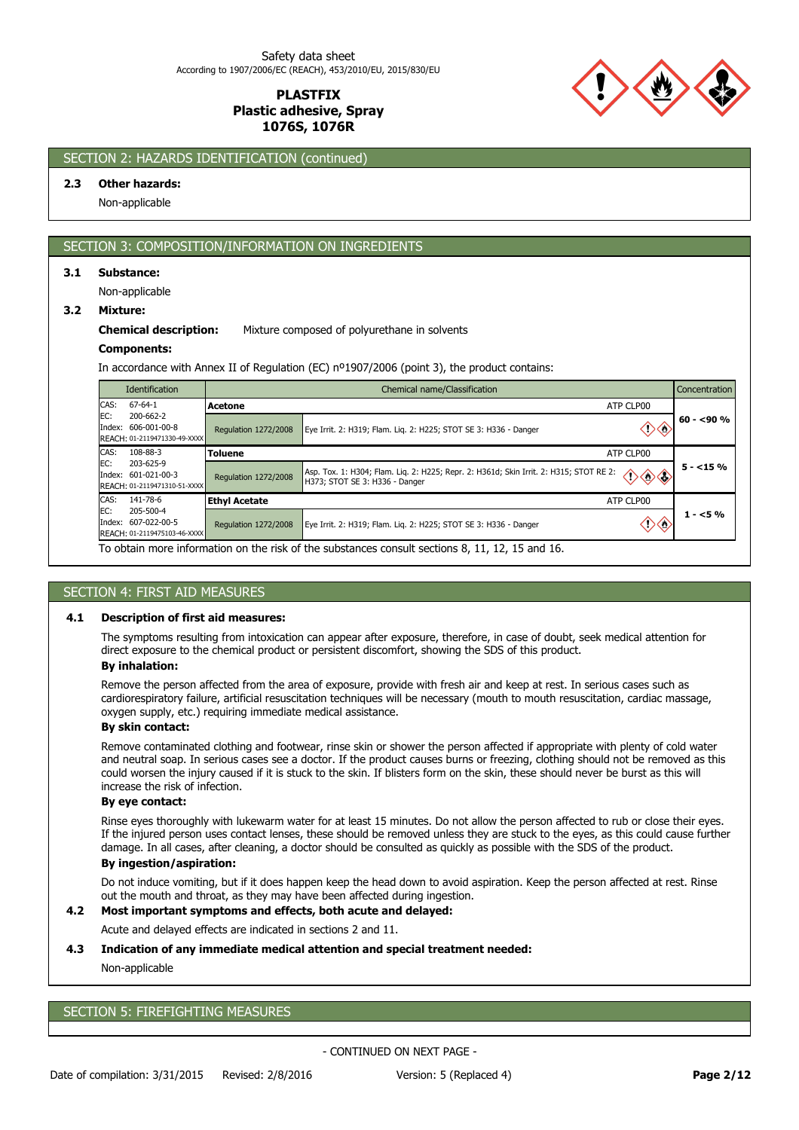

# SECTION 2: HAZARDS IDENTIFICATION (continued)

### **2.3 Other hazards:**

Non-applicable

# SECTION 3: COMPOSITION/INFORMATION ON INGREDIENTS

### **3.1 Substance:**

Non-applicable

#### **3.2 Mixture:**

#### **Chemical description:** Mixture composed of polyurethane in solvents

#### **Components:**

In accordance with Annex II of Regulation (EC) nº1907/2006 (point 3), the product contains:

| Identification                                                          | Chemical name/Classification<br><b>Concentration</b> |                                                                                                                                                          |              |  |  |
|-------------------------------------------------------------------------|------------------------------------------------------|----------------------------------------------------------------------------------------------------------------------------------------------------------|--------------|--|--|
| CAS:<br>$67 - 64 - 1$                                                   | Acetone                                              | ATP CLP00                                                                                                                                                |              |  |  |
| EC:<br>200-662-2<br>Index: 606-001-00-8<br>REACH: 01-2119471330-49-XXXX | Regulation 1272/2008                                 | Eye Irrit. 2: H319; Flam. Lig. 2: H225; STOT SE 3: H336 - Danger                                                                                         | $60 - 590 %$ |  |  |
| CAS:<br>108-88-3                                                        | Toluene                                              | ATP CLP00                                                                                                                                                |              |  |  |
| EC:<br>203-625-9<br>Index: 601-021-00-3<br>REACH: 01-2119471310-51-XXXX | <b>Regulation 1272/2008</b>                          | Asp. Tox. 1: H304; Flam. Liq. 2: H225; Repr. 2: H361d; Skin Irrit. 2: H315; STOT RE 2:<br>$\diamond \diamond \diamond$<br>H373; STOT SE 3: H336 - Danger | $5 - 15\%$   |  |  |
| CAS:<br>141-78-6                                                        | <b>Ethyl Acetate</b>                                 | ATP CLP00                                                                                                                                                |              |  |  |
| EC:<br>205-500-4<br>Index: 607-022-00-5<br>REACH: 01-2119475103-46-XXXX | Regulation 1272/2008                                 | Eye Irrit. 2: H319; Flam. Lig. 2: H225; STOT SE 3: H336 - Danger                                                                                         | $1 - 5%$     |  |  |
|                                                                         |                                                      | To obtain more information on the risk of the substances consult sections 8, 11, 12, 15 and 16.                                                          |              |  |  |

### SECTION 4: FIRST AID MEASURES

#### **4.1 Description of first aid measures:**

The symptoms resulting from intoxication can appear after exposure, therefore, in case of doubt, seek medical attention for direct exposure to the chemical product or persistent discomfort, showing the SDS of this product.

### **By inhalation:**

Remove the person affected from the area of exposure, provide with fresh air and keep at rest. In serious cases such as cardiorespiratory failure, artificial resuscitation techniques will be necessary (mouth to mouth resuscitation, cardiac massage, oxygen supply, etc.) requiring immediate medical assistance.

### **By skin contact:**

Remove contaminated clothing and footwear, rinse skin or shower the person affected if appropriate with plenty of cold water and neutral soap. In serious cases see a doctor. If the product causes burns or freezing, clothing should not be removed as this could worsen the injury caused if it is stuck to the skin. If blisters form on the skin, these should never be burst as this will increase the risk of infection.

## **By eye contact:**

Rinse eyes thoroughly with lukewarm water for at least 15 minutes. Do not allow the person affected to rub or close their eyes. If the injured person uses contact lenses, these should be removed unless they are stuck to the eyes, as this could cause further damage. In all cases, after cleaning, a doctor should be consulted as quickly as possible with the SDS of the product.

## **By ingestion/aspiration:**

Do not induce vomiting, but if it does happen keep the head down to avoid aspiration. Keep the person affected at rest. Rinse out the mouth and throat, as they may have been affected during ingestion.

### **4.2 Most important symptoms and effects, both acute and delayed:**

Acute and delayed effects are indicated in sections 2 and 11.

### **4.3 Indication of any immediate medical attention and special treatment needed:**

# Non-applicable

# SECTION 5: FIREFIGHTING MEASURES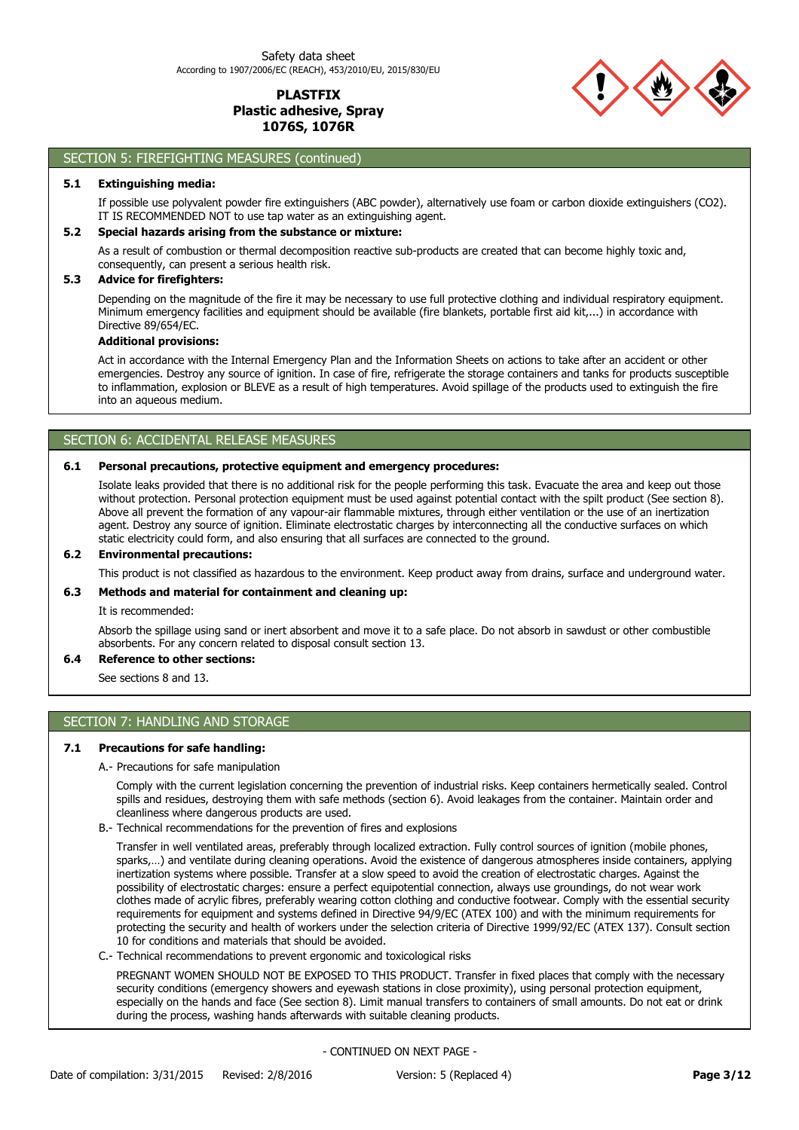

# SECTION 5: FIREFIGHTING MEASURES (continued)

### **5.1 Extinguishing media:**

If possible use polyvalent powder fire extinguishers (ABC powder), alternatively use foam or carbon dioxide extinguishers (CO2). IT IS RECOMMENDED NOT to use tap water as an extinguishing agent.

### **5.2 Special hazards arising from the substance or mixture:**

As a result of combustion or thermal decomposition reactive sub-products are created that can become highly toxic and, consequently, can present a serious health risk.

### **5.3 Advice for firefighters:**

Depending on the magnitude of the fire it may be necessary to use full protective clothing and individual respiratory equipment. Minimum emergency facilities and equipment should be available (fire blankets, portable first aid kit,...) in accordance with Directive 89/654/EC.

#### **Additional provisions:**

Act in accordance with the Internal Emergency Plan and the Information Sheets on actions to take after an accident or other emergencies. Destroy any source of ignition. In case of fire, refrigerate the storage containers and tanks for products susceptible to inflammation, explosion or BLEVE as a result of high temperatures. Avoid spillage of the products used to extinguish the fire into an aqueous medium.

### SECTION 6: ACCIDENTAL RELEASE MEASURES

### **6.1 Personal precautions, protective equipment and emergency procedures:**

Isolate leaks provided that there is no additional risk for the people performing this task. Evacuate the area and keep out those without protection. Personal protection equipment must be used against potential contact with the spilt product (See section 8). Above all prevent the formation of any vapour-air flammable mixtures, through either ventilation or the use of an inertization agent. Destroy any source of ignition. Eliminate electrostatic charges by interconnecting all the conductive surfaces on which static electricity could form, and also ensuring that all surfaces are connected to the ground.

### **6.2 Environmental precautions:**

This product is not classified as hazardous to the environment. Keep product away from drains, surface and underground water.

# **6.3 Methods and material for containment and cleaning up:**

It is recommended:

Absorb the spillage using sand or inert absorbent and move it to a safe place. Do not absorb in sawdust or other combustible absorbents. For any concern related to disposal consult section 13.

## **6.4 Reference to other sections:**

See sections 8 and 13.

# SECTION 7: HANDLING AND STORAGE

### **7.1 Precautions for safe handling:**

A.- Precautions for safe manipulation

Comply with the current legislation concerning the prevention of industrial risks. Keep containers hermetically sealed. Control spills and residues, destroying them with safe methods (section 6). Avoid leakages from the container. Maintain order and cleanliness where dangerous products are used.

B.- Technical recommendations for the prevention of fires and explosions

Transfer in well ventilated areas, preferably through localized extraction. Fully control sources of ignition (mobile phones, sparks,…) and ventilate during cleaning operations. Avoid the existence of dangerous atmospheres inside containers, applying inertization systems where possible. Transfer at a slow speed to avoid the creation of electrostatic charges. Against the possibility of electrostatic charges: ensure a perfect equipotential connection, always use groundings, do not wear work clothes made of acrylic fibres, preferably wearing cotton clothing and conductive footwear. Comply with the essential security requirements for equipment and systems defined in Directive 94/9/EC (ATEX 100) and with the minimum requirements for protecting the security and health of workers under the selection criteria of Directive 1999/92/EC (ATEX 137). Consult section 10 for conditions and materials that should be avoided.

C.- Technical recommendations to prevent ergonomic and toxicological risks

PREGNANT WOMEN SHOULD NOT BE EXPOSED TO THIS PRODUCT. Transfer in fixed places that comply with the necessary security conditions (emergency showers and eyewash stations in close proximity), using personal protection equipment, especially on the hands and face (See section 8). Limit manual transfers to containers of small amounts. Do not eat or drink during the process, washing hands afterwards with suitable cleaning products.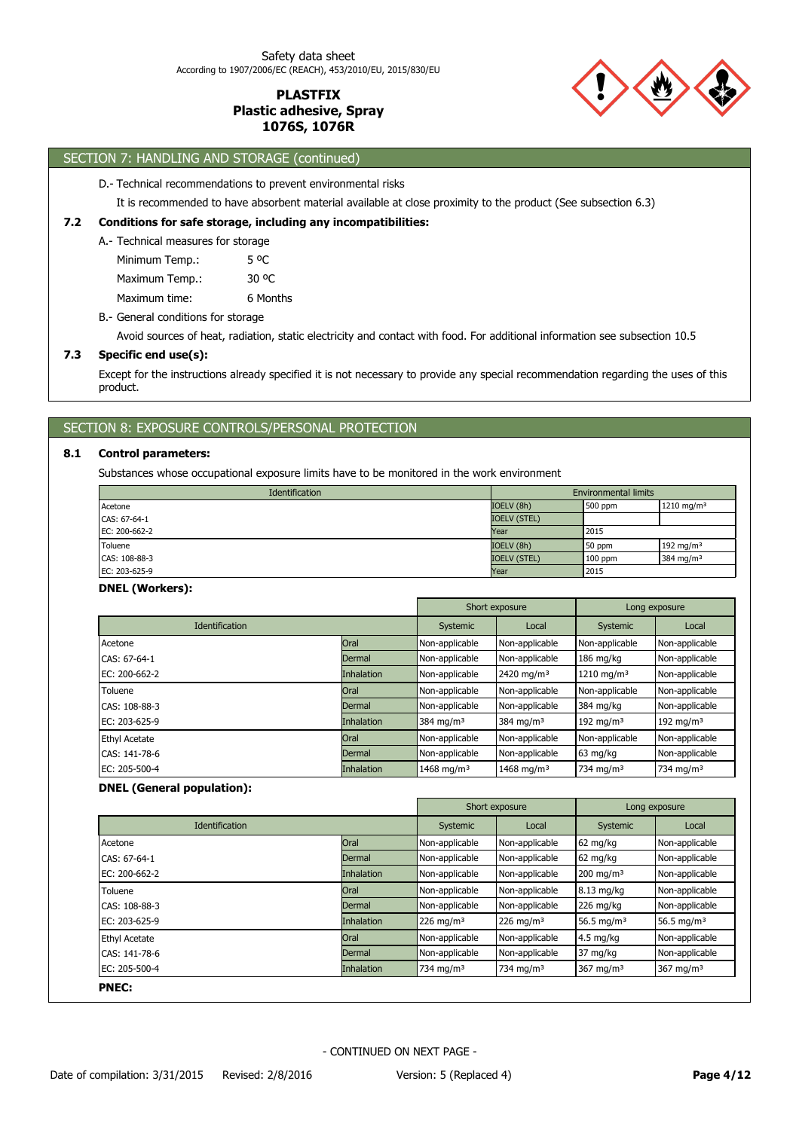

# SECTION 7: HANDLING AND STORAGE (continued)

#### D.- Technical recommendations to prevent environmental risks

It is recommended to have absorbent material available at close proximity to the product (See subsection 6.3)

#### **7.2 Conditions for safe storage, including any incompatibilities:**

A.- Technical measures for storage

| Minimum Temp.: | 5 <sup>o</sup> C |
|----------------|------------------|
| Maximum Temp.: | 30 OC            |
| Maximum time:  | 6 Months         |

B.- General conditions for storage

Avoid sources of heat, radiation, static electricity and contact with food. For additional information see subsection 10.5

### **7.3 Specific end use(s):**

Except for the instructions already specified it is not necessary to provide any special recommendation regarding the uses of this product.

## SECTION 8: EXPOSURE CONTROLS/PERSONAL PROTECTION

#### **8.1 Control parameters:**

Substances whose occupational exposure limits have to be monitored in the work environment

| Identification | <b>Environmental limits</b> |           |                        |  |
|----------------|-----------------------------|-----------|------------------------|--|
| Acetone        | IOELV (8h)                  | 500 ppm   | 1210 mg/m <sup>3</sup> |  |
| CAS: 67-64-1   | <b>IOELV (STEL)</b>         |           |                        |  |
| EC: 200-662-2  | Year                        | 2015      |                        |  |
| Toluene        | IOELV (8h)                  | 50 ppm    | 192 mg/m $3$           |  |
| CAS: 108-88-3  | <b>IOELV (STEL)</b>         | $100$ ppm | 384 mg/m <sup>3</sup>  |  |
| EC: 203-625-9  | Year                        | 2015      |                        |  |

#### **DNEL (Workers):**

|                       |                   | Short exposure         |                        | Long exposure          |                |
|-----------------------|-------------------|------------------------|------------------------|------------------------|----------------|
| <b>Identification</b> |                   | Systemic               | Local                  | Systemic               | Local          |
| Acetone               | Oral              | Non-applicable         | Non-applicable         | Non-applicable         | Non-applicable |
| CAS: 67-64-1          | Dermal            | Non-applicable         | Non-applicable         | $186$ mg/kg            | Non-applicable |
| EC: 200-662-2         | <b>Inhalation</b> | Non-applicable         | 2420 mg/m <sup>3</sup> | 1210 mg/m <sup>3</sup> | Non-applicable |
| Toluene               | Oral              | Non-applicable         | Non-applicable         | Non-applicable         | Non-applicable |
| CAS: 108-88-3         | Dermal            | Non-applicable         | Non-applicable         | 384 mg/kg              | Non-applicable |
| EC: 203-625-9         | <b>Inhalation</b> | 384 mg/m $3$           | 384 mg/m <sup>3</sup>  | 192 mg/m $3$           | 192 mg/m $3$   |
| <b>Ethyl Acetate</b>  | Oral              | Non-applicable         | Non-applicable         | Non-applicable         | Non-applicable |
| CAS: 141-78-6         | Dermal            | Non-applicable         | Non-applicable         | 63 mg/kg               | Non-applicable |
| EC: 205-500-4         | <b>Inhalation</b> | 1468 mg/m <sup>3</sup> | 1468 mg/m <sup>3</sup> | 734 mg/m <sup>3</sup>  | 734 mg/m $3$   |

## **DNEL (General population):**

|                       |                   |                       | Short exposure          | Long exposure           |                         |
|-----------------------|-------------------|-----------------------|-------------------------|-------------------------|-------------------------|
| <b>Identification</b> |                   | Systemic              | Local                   | Systemic                | Local                   |
| Acetone               | Oral              | Non-applicable        | Non-applicable          | 62 mg/kg                | Non-applicable          |
| CAS: 67-64-1          | Dermal            | Non-applicable        | Non-applicable          | $62 \text{ mg/kg}$      | Non-applicable          |
| EC: 200-662-2         | <b>Inhalation</b> | Non-applicable        | Non-applicable          | $200 \text{ mg/m}^3$    | Non-applicable          |
| Toluene               | Oral              | Non-applicable        | Non-applicable          | 8.13 mg/kg              | Non-applicable          |
| CAS: 108-88-3         | Dermal            | Non-applicable        | Non-applicable          | $226$ mg/kg             | Non-applicable          |
| EC: 203-625-9         | <b>Inhalation</b> | 226 mg/m <sup>3</sup> | $226$ mg/m <sup>3</sup> | 56.5 mg/m <sup>3</sup>  | 56.5 mg/m <sup>3</sup>  |
| <b>Ethyl Acetate</b>  | Oral              | Non-applicable        | Non-applicable          | $4.5$ mg/kg             | Non-applicable          |
| CAS: 141-78-6         | Dermal            | Non-applicable        | Non-applicable          | 37 mg/kg                | Non-applicable          |
| EC: 205-500-4         | Inhalation        | 734 mg/m <sup>3</sup> | 734 mg/m <sup>3</sup>   | $367$ mg/m <sup>3</sup> | $367$ mg/m <sup>3</sup> |
| <b>PNEC:</b>          |                   |                       |                         |                         |                         |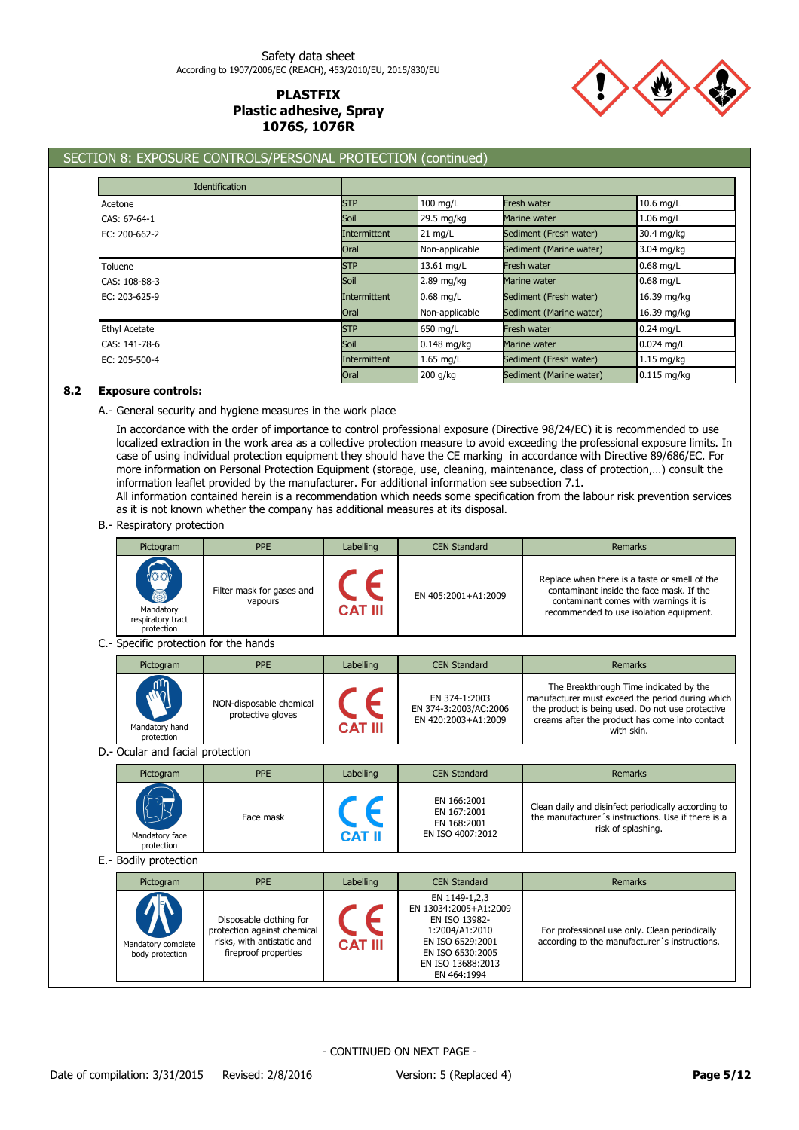

# SECTION 8: EXPOSURE CONTROLS/PERSONAL PROTECTION (continued)

| <b>Identification</b> |              |                |                         |               |
|-----------------------|--------------|----------------|-------------------------|---------------|
| Acetone               | <b>STP</b>   | $100$ mg/L     | Fresh water             | 10.6 mg/L     |
| CAS: 67-64-1          | Soil         | 29.5 mg/kg     | Marine water            | $1.06$ mg/L   |
| EC: 200-662-2         | Intermittent | $21$ mg/L      | Sediment (Fresh water)  | 30.4 mg/kg    |
|                       | Oral         | Non-applicable | Sediment (Marine water) | 3.04 mg/kg    |
| Toluene               | <b>STP</b>   | 13.61 mg/L     | Fresh water             | $0.68$ mg/L   |
| CAS: 108-88-3         | Soil         | $2.89$ mg/kg   | Marine water            | $0.68$ mg/L   |
| EC: 203-625-9         | Intermittent | $0.68$ mg/L    | Sediment (Fresh water)  | 16.39 mg/kg   |
|                       | Oral         | Non-applicable | Sediment (Marine water) | 16.39 mg/kg   |
| <b>Ethyl Acetate</b>  | <b>STP</b>   | 650 mg/L       | Fresh water             | $0.24$ mg/L   |
| CAS: 141-78-6         | Soil         | $0.148$ mg/kg  | Marine water            | $0.024$ mg/L  |
| EC: 205-500-4         | Intermittent | $1.65$ mg/L    | Sediment (Fresh water)  | $1.15$ mg/kg  |
|                       | Oral         | 200 g/kg       | Sediment (Marine water) | $0.115$ mg/kg |

### **8.2 Exposure controls:**

A.- General security and hygiene measures in the work place

In accordance with the order of importance to control professional exposure (Directive 98/24/EC) it is recommended to use localized extraction in the work area as a collective protection measure to avoid exceeding the professional exposure limits. In case of using individual protection equipment they should have the CE marking in accordance with Directive 89/686/EC. For more information on Personal Protection Equipment (storage, use, cleaning, maintenance, class of protection,…) consult the information leaflet provided by the manufacturer. For additional information see subsection 7.1.

All information contained herein is a recommendation which needs some specification from the labour risk prevention services as it is not known whether the company has additional measures at its disposal.

### B.- Respiratory protection

| Pictogram                                    | PPE                                                                                                          | Labelling            | <b>CEN Standard</b>                                                                                                                                   | Remarks                                                                                                                                                                                                        |
|----------------------------------------------|--------------------------------------------------------------------------------------------------------------|----------------------|-------------------------------------------------------------------------------------------------------------------------------------------------------|----------------------------------------------------------------------------------------------------------------------------------------------------------------------------------------------------------------|
| Mandatory<br>respiratory tract<br>protection | Filter mask for gases and<br>vapours                                                                         | CE<br><b>CAT III</b> | EN 405:2001+A1:2009                                                                                                                                   | Replace when there is a taste or smell of the<br>contaminant inside the face mask. If the<br>contaminant comes with warnings it is<br>recommended to use isolation equipment.                                  |
| C .- Specific protection for the hands       |                                                                                                              |                      |                                                                                                                                                       |                                                                                                                                                                                                                |
| Pictogram                                    | <b>PPE</b>                                                                                                   | Labelling            | <b>CEN Standard</b>                                                                                                                                   | Remarks                                                                                                                                                                                                        |
| Mandatory hand<br>protection                 | NON-disposable chemical<br>protective gloves                                                                 | <b>CAT III</b>       | EN 374-1:2003<br>EN 374-3:2003/AC:2006<br>EN 420:2003+A1:2009                                                                                         | The Breakthrough Time indicated by the<br>manufacturer must exceed the period during which<br>the product is being used. Do not use protective<br>creams after the product has come into contact<br>with skin. |
| D.- Ocular and facial protection             |                                                                                                              |                      |                                                                                                                                                       |                                                                                                                                                                                                                |
| Pictogram                                    | PPE                                                                                                          | Labelling            | <b>CEN Standard</b>                                                                                                                                   | Remarks                                                                                                                                                                                                        |
| Mandatory face<br>protection                 | Face mask                                                                                                    | CE<br><b>CAT II</b>  | EN 166:2001<br>EN 167:2001<br>EN 168:2001<br>EN ISO 4007:2012                                                                                         | Clean daily and disinfect periodically according to<br>the manufacturer's instructions. Use if there is a<br>risk of splashing.                                                                                |
| E.- Bodily protection                        |                                                                                                              |                      |                                                                                                                                                       |                                                                                                                                                                                                                |
| Pictogram                                    | PPE                                                                                                          | Labelling            | <b>CEN Standard</b>                                                                                                                                   | Remarks                                                                                                                                                                                                        |
| Mandatory complete<br>body protection        | Disposable clothing for<br>protection against chemical<br>risks, with antistatic and<br>fireproof properties | <b>CAT III</b>       | EN 1149-1,2,3<br>EN 13034:2005+A1:2009<br>EN ISO 13982-<br>1:2004/A1:2010<br>EN ISO 6529:2001<br>EN ISO 6530:2005<br>EN ISO 13688:2013<br>EN 464:1994 | For professional use only. Clean periodically<br>according to the manufacturer's instructions.                                                                                                                 |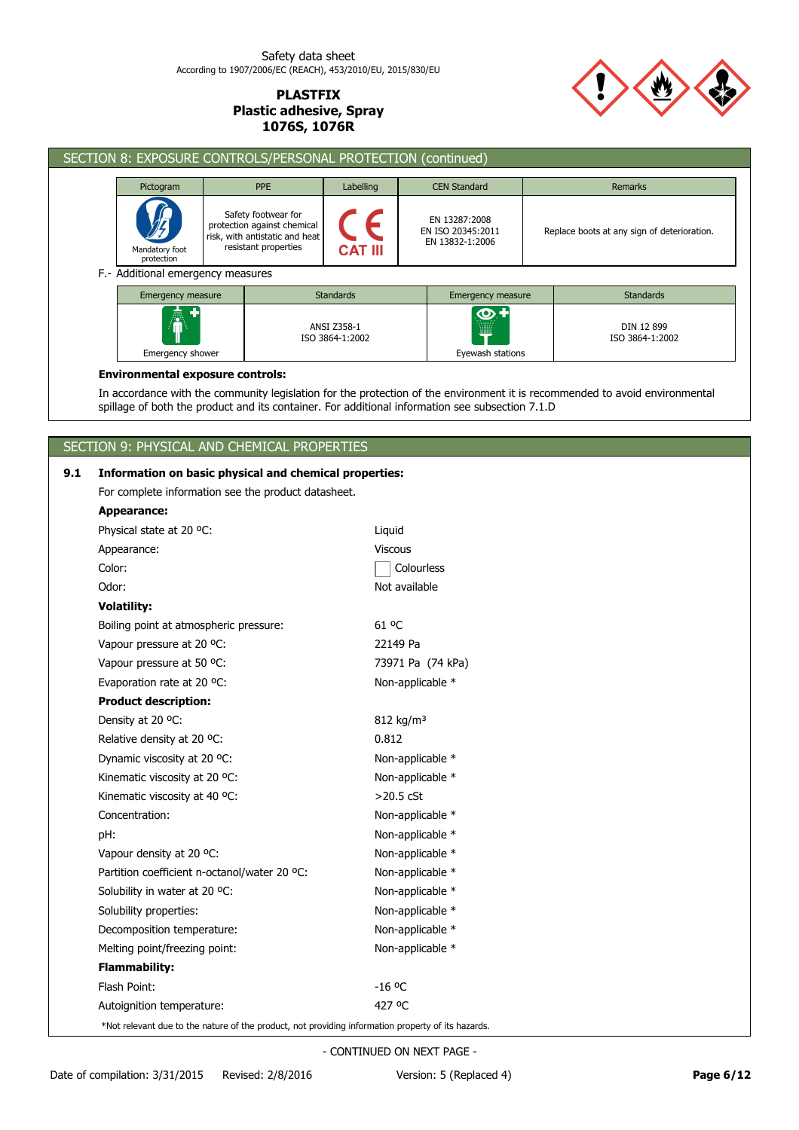

| SECTION 8: EXPOSURE CONTROLS/PERSONAL PROTECTION (continued) |                              |                                                           |                                                                                                              |                                            |  |                                                       |  |                                             |  |
|--------------------------------------------------------------|------------------------------|-----------------------------------------------------------|--------------------------------------------------------------------------------------------------------------|--------------------------------------------|--|-------------------------------------------------------|--|---------------------------------------------|--|
|                                                              | Pictogram                    |                                                           | <b>PPE</b>                                                                                                   | Labelling                                  |  | <b>CEN Standard</b>                                   |  | Remarks                                     |  |
|                                                              | Mandatory foot<br>protection |                                                           | Safety footwear for<br>protection against chemical<br>risk, with antistatic and heat<br>resistant properties | <b>CAT III</b>                             |  | EN 13287:2008<br>EN ISO 20345:2011<br>EN 13832-1:2006 |  | Replace boots at any sign of deterioration. |  |
| F.- Additional emergency measures<br>Emergency measure       |                              |                                                           |                                                                                                              |                                            |  | Emergency measure                                     |  | <b>Standards</b>                            |  |
| 憑<br>Emergency shower                                        |                              | <b>Standards</b><br><b>ANSI Z358-1</b><br>ISO 3864-1:2002 |                                                                                                              | $\bm{\bm{\circ}}$<br>W<br>Eyewash stations |  | DIN 12 899<br>ISO 3864-1:2002                         |  |                                             |  |

## **Environmental exposure controls:**

In accordance with the community legislation for the protection of the environment it is recommended to avoid environmental spillage of both the product and its container. For additional information see subsection 7.1.D

# SECTION 9: PHYSICAL AND CHEMICAL PROPERTIES

# **9.1 Information on basic physical and chemical properties:**

For complete information see the product datasheet.

| <b>Appearance:</b>                                                                                 |                         |
|----------------------------------------------------------------------------------------------------|-------------------------|
| Physical state at 20 °C:                                                                           | Liquid                  |
| Appearance:                                                                                        | <b>Viscous</b>          |
| Color:                                                                                             | Colourless              |
| Odor:                                                                                              | Not available           |
| <b>Volatility:</b>                                                                                 |                         |
| Boiling point at atmospheric pressure:                                                             | 61 °C                   |
| Vapour pressure at 20 °C:                                                                          | 22149 Pa                |
| Vapour pressure at 50 °C:                                                                          | 73971 Pa (74 kPa)       |
| Evaporation rate at 20 °C:                                                                         | Non-applicable *        |
| <b>Product description:</b>                                                                        |                         |
| Density at 20 °C:                                                                                  | $812$ kg/m <sup>3</sup> |
| Relative density at 20 °C:                                                                         | 0.812                   |
| Dynamic viscosity at 20 °C:                                                                        | Non-applicable *        |
| Kinematic viscosity at 20 °C:                                                                      | Non-applicable *        |
| Kinematic viscosity at 40 °C:                                                                      | $>20.5$ cSt             |
| Concentration:                                                                                     | Non-applicable *        |
| pH:                                                                                                | Non-applicable *        |
| Vapour density at 20 °C:                                                                           | Non-applicable *        |
| Partition coefficient n-octanol/water 20 °C:                                                       | Non-applicable *        |
| Solubility in water at 20 °C:                                                                      | Non-applicable *        |
| Solubility properties:                                                                             | Non-applicable *        |
| Decomposition temperature:                                                                         | Non-applicable *        |
| Melting point/freezing point:                                                                      | Non-applicable *        |
| <b>Flammability:</b>                                                                               |                         |
| Flash Point:                                                                                       | $-16$ °C                |
| Autoignition temperature:                                                                          | 427 °C                  |
| *Not relevant due to the nature of the product, not providing information property of its hazards. |                         |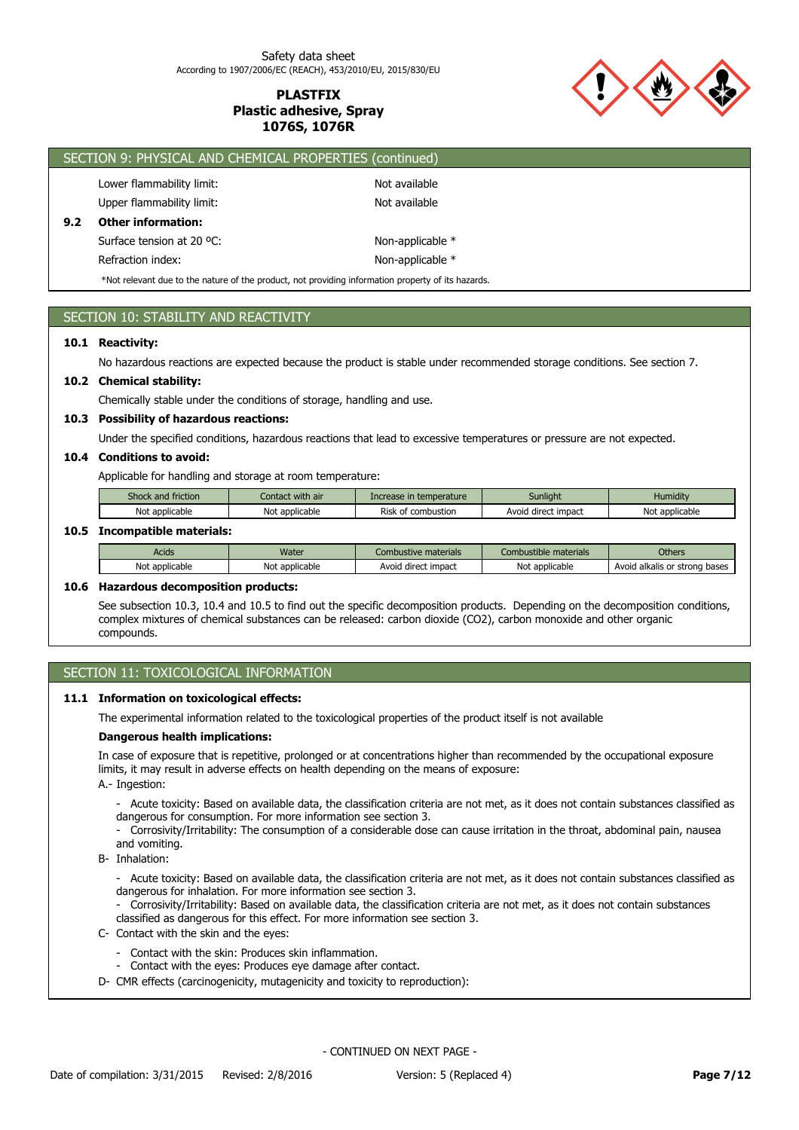

|     | SECTION 9: PHYSICAL AND CHEMICAL PROPERTIES (continued)                                            |                  |  |  |  |
|-----|----------------------------------------------------------------------------------------------------|------------------|--|--|--|
|     | Lower flammability limit:                                                                          | Not available    |  |  |  |
|     | Upper flammability limit:                                                                          | Not available    |  |  |  |
| 9.2 | <b>Other information:</b>                                                                          |                  |  |  |  |
|     | Surface tension at 20 °C:                                                                          | Non-applicable * |  |  |  |
|     | Refraction index:                                                                                  | Non-applicable * |  |  |  |
|     | *Not relevant due to the nature of the product, not providing information property of its hazards. |                  |  |  |  |

# SECTION 10: STABILITY AND REACTIVITY

### **10.1 Reactivity:**

No hazardous reactions are expected because the product is stable under recommended storage conditions. See section 7.

## **10.2 Chemical stability:**

Chemically stable under the conditions of storage, handling and use.

#### **10.3 Possibility of hazardous reactions:**

Under the specified conditions, hazardous reactions that lead to excessive temperatures or pressure are not expected.

#### **10.4 Conditions to avoid:**

Applicable for handling and storage at room temperature:

| Shock and friction | Contact with air | Increase in temperature | Sunliaht            | <b>Humidity</b> |
|--------------------|------------------|-------------------------|---------------------|-----------------|
| Not applicable     | Not applicable   | Risk of combustion      | Avoid direct impact | Not applicable  |

#### **10.5 Incompatible materials:**

| Acids          | Water          | Combustive materials | .<br>Combustible materials | <b>Others</b>                 |
|----------------|----------------|----------------------|----------------------------|-------------------------------|
| Not applicable | Not applicable | Avoid direct impact  | Not<br>* applicable        | Avoid alkalis or strong bases |

### **10.6 Hazardous decomposition products:**

See subsection 10.3, 10.4 and 10.5 to find out the specific decomposition products. Depending on the decomposition conditions, complex mixtures of chemical substances can be released: carbon dioxide (CO2), carbon monoxide and other organic compounds.

# SECTION 11: TOXICOLOGICAL INFORMATION

#### **11.1 Information on toxicological effects:**

The experimental information related to the toxicological properties of the product itself is not available

#### **Dangerous health implications:**

In case of exposure that is repetitive, prolonged or at concentrations higher than recommended by the occupational exposure limits, it may result in adverse effects on health depending on the means of exposure:

A.- Ingestion:

- Acute toxicity: Based on available data, the classification criteria are not met, as it does not contain substances classified as dangerous for consumption. For more information see section 3.

- Corrosivity/Irritability: The consumption of a considerable dose can cause irritation in the throat, abdominal pain, nausea and vomiting.
- B- Inhalation:
	- Acute toxicity: Based on available data, the classification criteria are not met, as it does not contain substances classified as dangerous for inhalation. For more information see section 3.
	- Corrosivity/Irritability: Based on available data, the classification criteria are not met, as it does not contain substances classified as dangerous for this effect. For more information see section 3.
- C- Contact with the skin and the eyes:
	- Contact with the skin: Produces skin inflammation.
	- Contact with the eyes: Produces eye damage after contact.
- D- CMR effects (carcinogenicity, mutagenicity and toxicity to reproduction):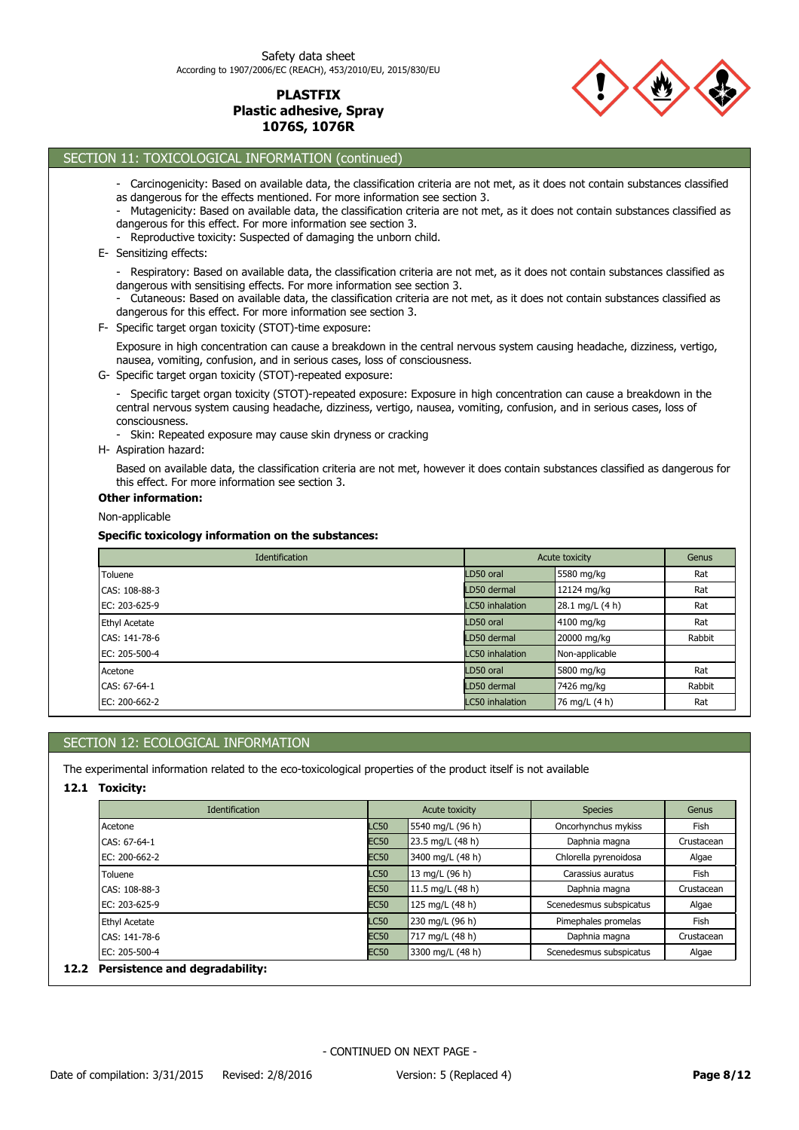

# SECTION 11: TOXICOLOGICAL INFORMATION (continued)

| - Carcinogenicity: Based on available data, the classification criteria are not met, as it does not contain substances classified<br>as dangerous for the effects mentioned. For more information see section 3.<br>- Mutagenicity: Based on available data, the classification criteria are not met, as it does not contain substances classified as<br>dangerous for this effect. For more information see section 3.<br>- Reproductive toxicity: Suspected of damaging the unborn child.<br>E- Sensitizing effects:<br>- Respiratory: Based on available data, the classification criteria are not met, as it does not contain substances classified as<br>dangerous with sensitising effects. For more information see section 3.<br>- Cutaneous: Based on available data, the classification criteria are not met, as it does not contain substances classified as<br>dangerous for this effect. For more information see section 3.<br>F- Specific target organ toxicity (STOT)-time exposure:<br>Exposure in high concentration can cause a breakdown in the central nervous system causing headache, dizziness, vertigo,<br>nausea, vomiting, confusion, and in serious cases, loss of consciousness.<br>G- Specific target organ toxicity (STOT)-repeated exposure:<br>- Specific target organ toxicity (STOT)-repeated exposure: Exposure in high concentration can cause a breakdown in the<br>central nervous system causing headache, dizziness, vertigo, nausea, vomiting, confusion, and in serious cases, loss of<br>consciousness.<br>- Skin: Repeated exposure may cause skin dryness or cracking<br>H- Aspiration hazard: |                 |                 |        |
|----------------------------------------------------------------------------------------------------------------------------------------------------------------------------------------------------------------------------------------------------------------------------------------------------------------------------------------------------------------------------------------------------------------------------------------------------------------------------------------------------------------------------------------------------------------------------------------------------------------------------------------------------------------------------------------------------------------------------------------------------------------------------------------------------------------------------------------------------------------------------------------------------------------------------------------------------------------------------------------------------------------------------------------------------------------------------------------------------------------------------------------------------------------------------------------------------------------------------------------------------------------------------------------------------------------------------------------------------------------------------------------------------------------------------------------------------------------------------------------------------------------------------------------------------------------------------------------------------------------------------------------------|-----------------|-----------------|--------|
| Based on available data, the classification criteria are not met, however it does contain substances classified as dangerous for<br>this effect. For more information see section 3.                                                                                                                                                                                                                                                                                                                                                                                                                                                                                                                                                                                                                                                                                                                                                                                                                                                                                                                                                                                                                                                                                                                                                                                                                                                                                                                                                                                                                                                         |                 |                 |        |
| <b>Other information:</b>                                                                                                                                                                                                                                                                                                                                                                                                                                                                                                                                                                                                                                                                                                                                                                                                                                                                                                                                                                                                                                                                                                                                                                                                                                                                                                                                                                                                                                                                                                                                                                                                                    |                 |                 |        |
| Non-applicable                                                                                                                                                                                                                                                                                                                                                                                                                                                                                                                                                                                                                                                                                                                                                                                                                                                                                                                                                                                                                                                                                                                                                                                                                                                                                                                                                                                                                                                                                                                                                                                                                               |                 |                 |        |
| Specific toxicology information on the substances:                                                                                                                                                                                                                                                                                                                                                                                                                                                                                                                                                                                                                                                                                                                                                                                                                                                                                                                                                                                                                                                                                                                                                                                                                                                                                                                                                                                                                                                                                                                                                                                           |                 |                 |        |
| Identification                                                                                                                                                                                                                                                                                                                                                                                                                                                                                                                                                                                                                                                                                                                                                                                                                                                                                                                                                                                                                                                                                                                                                                                                                                                                                                                                                                                                                                                                                                                                                                                                                               |                 | Acute toxicity  | Genus  |
| Toluene                                                                                                                                                                                                                                                                                                                                                                                                                                                                                                                                                                                                                                                                                                                                                                                                                                                                                                                                                                                                                                                                                                                                                                                                                                                                                                                                                                                                                                                                                                                                                                                                                                      | LD50 oral       | 5580 mg/kg      | Rat    |
| CAS: 108-88-3                                                                                                                                                                                                                                                                                                                                                                                                                                                                                                                                                                                                                                                                                                                                                                                                                                                                                                                                                                                                                                                                                                                                                                                                                                                                                                                                                                                                                                                                                                                                                                                                                                | LD50 dermal     | 12124 mg/kg     | Rat    |
| EC: 203-625-9                                                                                                                                                                                                                                                                                                                                                                                                                                                                                                                                                                                                                                                                                                                                                                                                                                                                                                                                                                                                                                                                                                                                                                                                                                                                                                                                                                                                                                                                                                                                                                                                                                | LC50 inhalation | 28.1 mg/L (4 h) | Rat    |
| <b>Ethyl Acetate</b>                                                                                                                                                                                                                                                                                                                                                                                                                                                                                                                                                                                                                                                                                                                                                                                                                                                                                                                                                                                                                                                                                                                                                                                                                                                                                                                                                                                                                                                                                                                                                                                                                         | D50 oral        | 4100 mg/kg      | Rat    |
| CAS: 141-78-6                                                                                                                                                                                                                                                                                                                                                                                                                                                                                                                                                                                                                                                                                                                                                                                                                                                                                                                                                                                                                                                                                                                                                                                                                                                                                                                                                                                                                                                                                                                                                                                                                                | LD50 dermal     | 20000 mg/kg     | Rabbit |
| EC: 205-500-4                                                                                                                                                                                                                                                                                                                                                                                                                                                                                                                                                                                                                                                                                                                                                                                                                                                                                                                                                                                                                                                                                                                                                                                                                                                                                                                                                                                                                                                                                                                                                                                                                                | LC50 inhalation | Non-applicable  |        |
| Acetone                                                                                                                                                                                                                                                                                                                                                                                                                                                                                                                                                                                                                                                                                                                                                                                                                                                                                                                                                                                                                                                                                                                                                                                                                                                                                                                                                                                                                                                                                                                                                                                                                                      | LD50 oral       | 5800 mg/kg      | Rat    |
| CAS: 67-64-1                                                                                                                                                                                                                                                                                                                                                                                                                                                                                                                                                                                                                                                                                                                                                                                                                                                                                                                                                                                                                                                                                                                                                                                                                                                                                                                                                                                                                                                                                                                                                                                                                                 | LD50 dermal     | 7426 mg/kg      | Rabbit |

# SECTION 12: ECOLOGICAL INFORMATION

The experimental information related to the eco-toxicological properties of the product itself is not available

### **12.1 Toxicity:**

| <b>Identification</b> |             | Acute toxicity   | <b>Species</b>          | Genus      |  |
|-----------------------|-------------|------------------|-------------------------|------------|--|
| Acetone               | <b>LC50</b> | 5540 mg/L (96 h) | Oncorhynchus mykiss     | Fish       |  |
| CAS: 67-64-1          | <b>EC50</b> | 23.5 mg/L (48 h) | Daphnia magna           | Crustacean |  |
| EC: 200-662-2         | <b>EC50</b> | 3400 mg/L (48 h) | Chlorella pyrenoidosa   | Algae      |  |
| Toluene               | <b>LC50</b> | 13 mg/L (96 h)   | Carassius auratus       | Fish       |  |
| CAS: 108-88-3         | <b>EC50</b> | 11.5 mg/L (48 h) | Daphnia magna           | Crustacean |  |
| EC: 203-625-9         | <b>EC50</b> | 125 mg/L (48 h)  | Scenedesmus subspicatus | Algae      |  |
| <b>Ethyl Acetate</b>  | <b>LC50</b> | 230 mg/L (96 h)  | Pimephales promelas     | Fish       |  |
| CAS: 141-78-6         | <b>EC50</b> | 717 mg/L (48 h)  | Daphnia magna           | Crustacean |  |
| EC: 205-500-4         | <b>EC50</b> | 3300 mg/L (48 h) | Scenedesmus subspicatus | Algae      |  |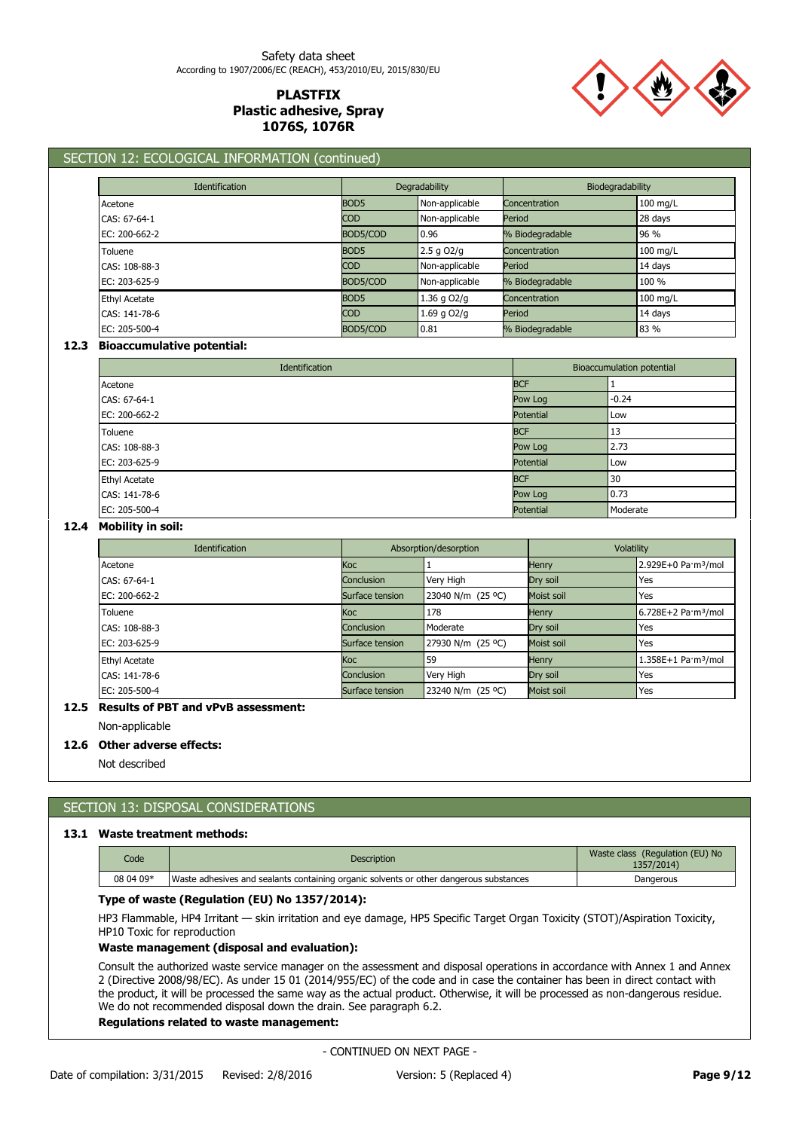

# SECTION 12: ECOLOGICAL INFORMATION (continued)

| <b>Identification</b> |                  | Degradability  |                 | Biodegradability |  |
|-----------------------|------------------|----------------|-----------------|------------------|--|
| Acetone               | BOD <sub>5</sub> | Non-applicable | Concentration   | 100 mg/L         |  |
| CAS: 67-64-1          | <b>COD</b>       | Non-applicable | Period          | 28 days          |  |
| $EC: 200 - 662 - 2$   | BOD5/COD         | 0.96           | % Biodegradable | 96 %             |  |
| Toluene               | BOD <sub>5</sub> | $2.5$ g $O2/q$ | Concentration   | 100 mg/L         |  |
| CAS: 108-88-3         | <b>COD</b>       | Non-applicable | Period          | 14 days          |  |
| EC: 203-625-9         | BOD5/COD         | Non-applicable | % Biodegradable | 100 %            |  |
| <b>Ethyl Acetate</b>  | BOD <sub>5</sub> | 1.36 g O2/g    | Concentration   | $100$ mg/L       |  |
| CAS: 141-78-6         | <b>COD</b>       | 1.69 g O2/g    | Period          | 14 days          |  |
| EC: 205-500-4         | BOD5/COD         | 0.81           | % Biodegradable | 83 %             |  |

#### **12.3 Bioaccumulative potential:**

| Identification       |  | Bioaccumulation potential |          |
|----------------------|--|---------------------------|----------|
| Acetone              |  | <b>BCF</b>                |          |
| CAS: 67-64-1         |  | Pow Log                   | $-0.24$  |
| EC: 200-662-2        |  | <b>Potential</b>          | Low      |
| Toluene              |  | <b>BCF</b>                | 13       |
| CAS: 108-88-3        |  | Pow Log                   | 2.73     |
| EC: 203-625-9        |  | <b>Potential</b>          | Low      |
| <b>Ethyl Acetate</b> |  | <b>BCF</b>                | 30       |
| CAS: 141-78-6        |  | Pow Log                   | 0.73     |
| EC: 205-500-4        |  | Potential                 | Moderate |

## **12.4 Mobility in soil:**

| <b>Identification</b> |                   | Absorption/desorption |              | Volatility                                |  |
|-----------------------|-------------------|-----------------------|--------------|-------------------------------------------|--|
| Acetone               | Кос               |                       | <b>Henry</b> | 2.929E+0 Pa·m <sup>3</sup> /mol           |  |
| CAS: 67-64-1          | <b>Conclusion</b> | Very High             | Dry soil     | Yes                                       |  |
| $EC: 200 - 662 - 2$   | Surface tension   | 23040 N/m (25 °C)     | Moist soil   | Yes                                       |  |
| Toluene               | <b>Koc</b>        | 178                   | <b>Henry</b> | 6.728E+2 Pa·m <sup>3</sup> /mol           |  |
| CAS: 108-88-3         | Conclusion        | Moderate              | Dry soil     | Yes                                       |  |
| EC: 203-625-9         | Surface tension   | 27930 N/m (25 °C)     | Moist soil   | Yes                                       |  |
| <b>Ethyl Acetate</b>  | <b>Koc</b>        | 59                    | <b>Henry</b> | $1.358E+1$ Pa $\cdot$ m <sup>3</sup> /mol |  |
| CAS: 141-78-6         | <b>Conclusion</b> | Very High             | Dry soil     | Yes                                       |  |
| EC: 205-500-4         | Surface tension   | 23240 N/m (25 °C)     | Moist soil   | Yes                                       |  |

### **12.5 Results of PBT and vPvB assessment:**

Non-applicable

#### **12.6 Other adverse effects:**

Not described

# SECTION 13: DISPOSAL CONSIDERATIONS

### **13.1 Waste treatment methods:**

| Code      | <b>Description</b>                                                                     | Waste class (Regulation (EU) No<br>1357/2014) |
|-----------|----------------------------------------------------------------------------------------|-----------------------------------------------|
| 08 04 09* | Waste adhesives and sealants containing organic solvents or other dangerous substances | Dangerous                                     |

#### **Type of waste (Regulation (EU) No 1357/2014):**

HP3 Flammable, HP4 Irritant — skin irritation and eye damage, HP5 Specific Target Organ Toxicity (STOT)/Aspiration Toxicity, HP10 Toxic for reproduction

### **Waste management (disposal and evaluation):**

Consult the authorized waste service manager on the assessment and disposal operations in accordance with Annex 1 and Annex 2 (Directive 2008/98/EC). As under 15 01 (2014/955/EC) of the code and in case the container has been in direct contact with the product, it will be processed the same way as the actual product. Otherwise, it will be processed as non-dangerous residue. We do not recommended disposal down the drain. See paragraph 6.2.

### **Regulations related to waste management:**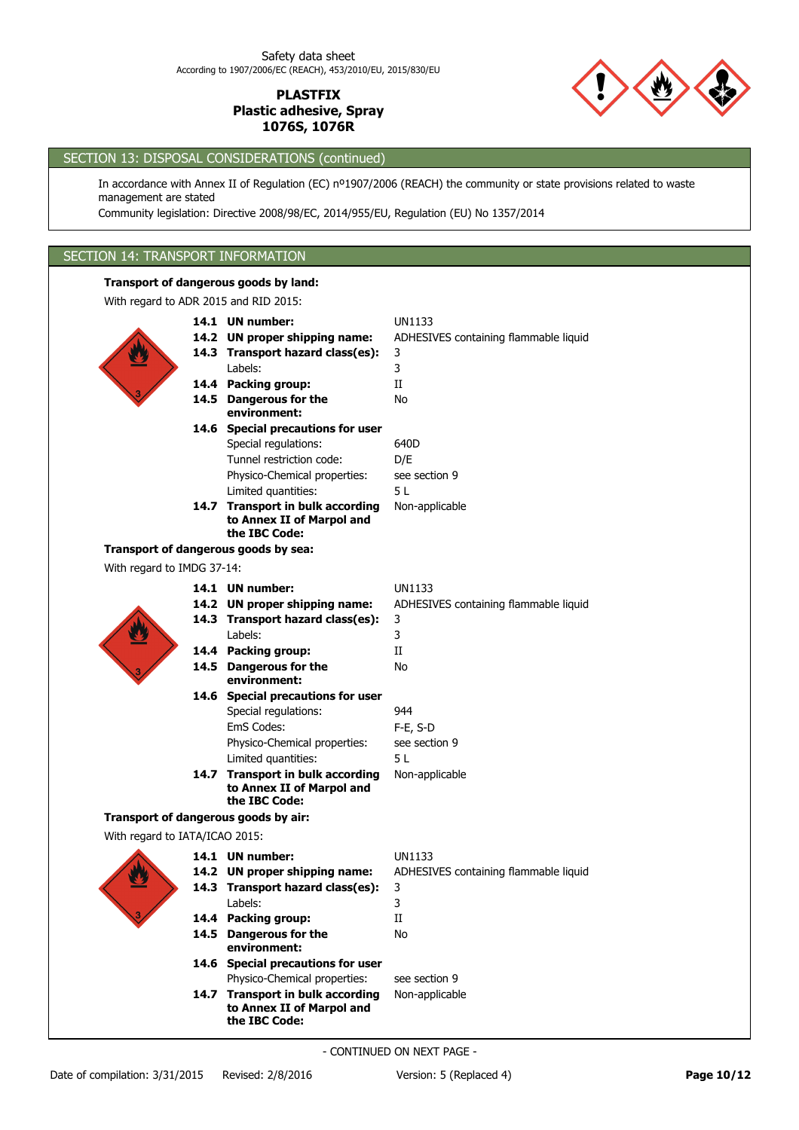

# SECTION 13: DISPOSAL CONSIDERATIONS (continued)

In accordance with Annex II of Regulation (EC) nº1907/2006 (REACH) the community or state provisions related to waste management are stated

Community legislation: Directive 2008/98/EC, 2014/955/EU, Regulation (EU) No 1357/2014

# SECTION 14: TRANSPORT INFORMATION

## **Transport of dangerous goods by land:**

| With regard to ADR 2015 and RID 2015: |                                                                                |                                       |
|---------------------------------------|--------------------------------------------------------------------------------|---------------------------------------|
|                                       | 14.1 UN number:                                                                | <b>UN1133</b>                         |
|                                       | 14.2 UN proper shipping name:                                                  | ADHESIVES containing flammable liquid |
|                                       | 14.3 Transport hazard class(es):                                               | 3                                     |
|                                       | Labels:                                                                        | 3                                     |
|                                       | 14.4 Packing group:                                                            | П                                     |
|                                       | 14.5 Dangerous for the                                                         | No                                    |
|                                       | environment:                                                                   |                                       |
|                                       | 14.6 Special precautions for user                                              |                                       |
|                                       | Special regulations:                                                           | 640D                                  |
|                                       | Tunnel restriction code:                                                       | D/E                                   |
|                                       | Physico-Chemical properties:                                                   | see section 9                         |
|                                       | Limited quantities:                                                            | 5L                                    |
|                                       | 14.7 Transport in bulk according<br>to Annex II of Marpol and<br>the IBC Code: | Non-applicable                        |
|                                       | Transport of dangerous goods by sea:                                           |                                       |
| With regard to IMDG 37-14:            |                                                                                |                                       |
|                                       | 14.1 UN number:                                                                | <b>UN1133</b>                         |
|                                       | 14.2 UN proper shipping name:                                                  | ADHESIVES containing flammable liquid |
|                                       | 14.3 Transport hazard class(es):                                               | 3                                     |
|                                       | Labels:                                                                        | 3                                     |
|                                       | 14.4 Packing group:                                                            | П                                     |
|                                       | 14.5 Dangerous for the<br>environment:                                         | No                                    |
|                                       | 14.6 Special precautions for user                                              |                                       |
|                                       | Special regulations:                                                           | 944                                   |
|                                       | EmS Codes:                                                                     | F-E, S-D                              |
|                                       | Physico-Chemical properties:                                                   | see section 9                         |
|                                       | Limited quantities:                                                            | 5L                                    |
|                                       | 14.7 Transport in bulk according                                               | Non-applicable                        |
|                                       | to Annex II of Marpol and<br>the IBC Code:                                     |                                       |
|                                       | Transport of dangerous goods by air:                                           |                                       |
| With regard to IATA/ICAO 2015:        |                                                                                |                                       |
|                                       | 14.1 UN number:                                                                | <b>UN1133</b>                         |
|                                       | 14.2 UN proper shipping name:                                                  | ADHESIVES containing flammable liquid |
|                                       | 14.3 Transport hazard class(es):                                               | 3                                     |
|                                       | Labels:                                                                        | 3                                     |
|                                       | 14.4 Packing group:                                                            | П                                     |
|                                       | 14.5 Dangerous for the<br>environment:                                         | No                                    |
|                                       | 14.6 Special precautions for user                                              |                                       |
|                                       | Physico-Chemical properties:                                                   | see section 9                         |
|                                       | 14.7 Transport in bulk according                                               | Non-applicable                        |
|                                       | to Annex II of Marpol and<br>the IBC Code:                                     |                                       |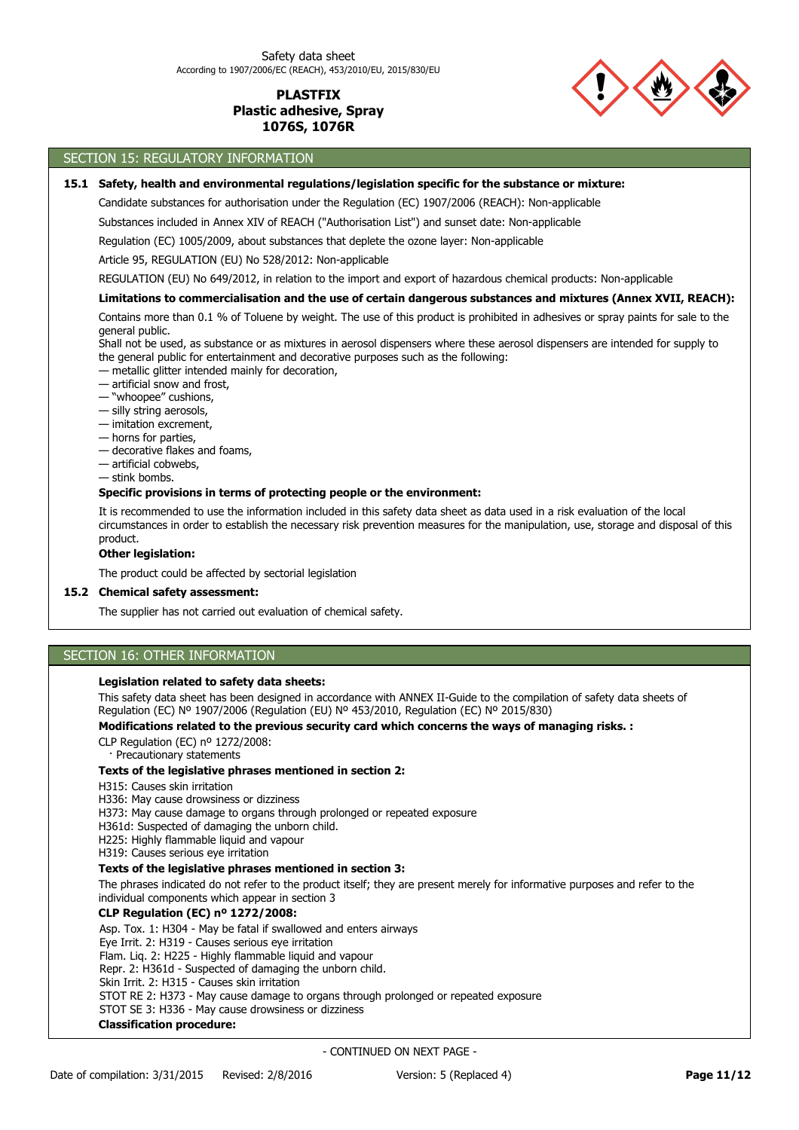

# SECTION 15: REGULATORY INFORMATION

### **15.1 Safety, health and environmental regulations/legislation specific for the substance or mixture:**

Candidate substances for authorisation under the Regulation (EC) 1907/2006 (REACH): Non-applicable

Substances included in Annex XIV of REACH ("Authorisation List") and sunset date: Non-applicable

Regulation (EC) 1005/2009, about substances that deplete the ozone layer: Non-applicable

Article 95, REGULATION (EU) No 528/2012: Non-applicable

REGULATION (EU) No 649/2012, in relation to the import and export of hazardous chemical products: Non-applicable

#### **Limitations to commercialisation and the use of certain dangerous substances and mixtures (Annex XVII, REACH):**

Contains more than 0.1 % of Toluene by weight. The use of this product is prohibited in adhesives or spray paints for sale to the general public.

Shall not be used, as substance or as mixtures in aerosol dispensers where these aerosol dispensers are intended for supply to the general public for entertainment and decorative purposes such as the following:

— metallic glitter intended mainly for decoration,

— artificial snow and frost,

— "whoopee" cushions,

- silly string aerosols,
- imitation excrement,
- horns for parties,
- decorative flakes and foams,
- artificial cobwebs,
- stink bombs.

### **Specific provisions in terms of protecting people or the environment:**

It is recommended to use the information included in this safety data sheet as data used in a risk evaluation of the local circumstances in order to establish the necessary risk prevention measures for the manipulation, use, storage and disposal of this product.

#### **Other legislation:**

The product could be affected by sectorial legislation

### **15.2 Chemical safety assessment:**

The supplier has not carried out evaluation of chemical safety.

# SECTION 16: OTHER INFORMATION

### **Legislation related to safety data sheets:**

This safety data sheet has been designed in accordance with ANNEX II-Guide to the compilation of safety data sheets of Regulation (EC) Nº 1907/2006 (Regulation (EU) Nº 453/2010, Regulation (EC) Nº 2015/830)

#### **Modifications related to the previous security card which concerns the ways of managing risks. :**

CLP Regulation (EC) nº 1272/2008:

· Precautionary statements

#### **Texts of the legislative phrases mentioned in section 2:**

H315: Causes skin irritation

H336: May cause drowsiness or dizziness

H373: May cause damage to organs through prolonged or repeated exposure

H361d: Suspected of damaging the unborn child.

H225: Highly flammable liquid and vapour

H319: Causes serious eye irritation

#### **Texts of the legislative phrases mentioned in section 3:**

The phrases indicated do not refer to the product itself; they are present merely for informative purposes and refer to the individual components which appear in section 3

#### **CLP Regulation (EC) nº 1272/2008:**

Asp. Tox. 1: H304 - May be fatal if swallowed and enters airways

Eye Irrit. 2: H319 - Causes serious eye irritation

Flam. Liq. 2: H225 - Highly flammable liquid and vapour

Repr. 2: H361d - Suspected of damaging the unborn child.

Skin Irrit. 2: H315 - Causes skin irritation

STOT RE 2: H373 - May cause damage to organs through prolonged or repeated exposure

STOT SE 3: H336 - May cause drowsiness or dizziness

### **Classification procedure:**